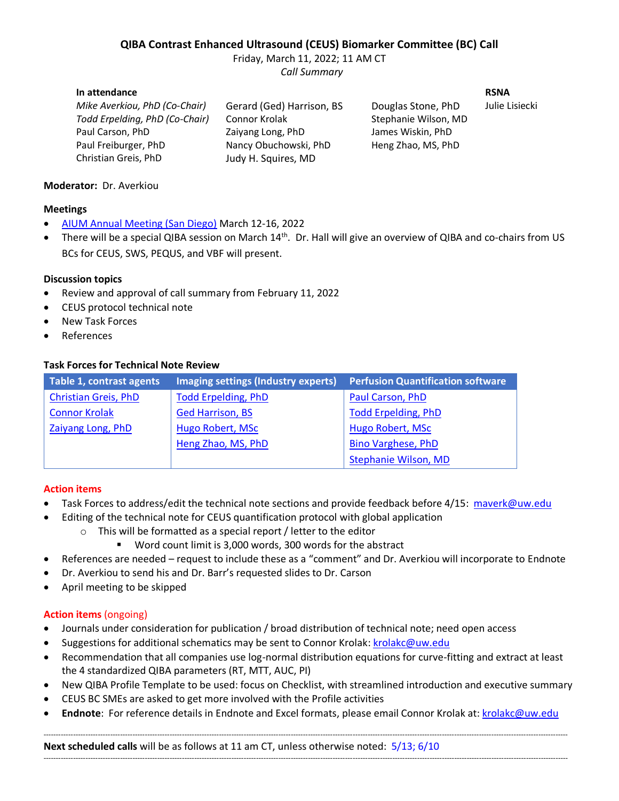# **QIBA Contrast Enhanced Ultrasound (CEUS) Biomarker Committee (BC) Call**

Friday, March 11, 2022; 11 AM CT *Call Summary*

#### **In attendance RSNA**

*Mike Averkiou, PhD (Co-Chair)* Gerard (Ged) Harrison, BS Douglas Stone, PhD Julie Lisiecki *Todd Erpelding, PhD (Co-Chair)* Connor Krolak Stephanie Wilson, MD Paul Carson, PhD **Zaiyang Long, PhD** James Wiskin, PhD Paul Freiburger, PhD Nancy Obuchowski, PhD Heng Zhao, MS, PhD Christian Greis, PhD Judy H. Squires, MD

## **Moderator:** Dr. Averkiou

#### **Meetings**

- [AIUM Annual Meeting \(San Diego\)](https://www.aium.org/) March 12-16, 2022
- There will be a special QIBA session on March 14<sup>th</sup>. Dr. Hall will give an overview of QIBA and co-chairs from US BCs for CEUS, SWS, PEQUS, and VBF will present.

#### **Discussion topics**

- Review and approval of call summary from February 11, 2022
- CEUS protocol technical note
- New Task Forces
- References

## **Task Forces for Technical Note Review**

| Table 1, contrast agents    | Imaging settings (Industry experts) | <b>Perfusion Quantification software</b> |
|-----------------------------|-------------------------------------|------------------------------------------|
| <b>Christian Greis, PhD</b> | <b>Todd Erpelding, PhD</b>          | Paul Carson, PhD                         |
| <b>Connor Krolak</b>        | <b>Ged Harrison, BS</b>             | <b>Todd Erpelding, PhD</b>               |
| Zaiyang Long, PhD           | <b>Hugo Robert, MSc</b>             | Hugo Robert, MSc                         |
|                             | Heng Zhao, MS, PhD                  | <b>Bino Varghese, PhD</b>                |
|                             |                                     | <b>Stephanie Wilson, MD</b>              |

## **Action items**

- Task Forces to address/edit the technical note sections and provide feedback before 4/15: [maverk@uw.edu](mailto:maverk@uw.edu)
- Editing of the technical note for CEUS quantification protocol with global application
	- o This will be formatted as a special report / letter to the editor
		- Word count limit is 3,000 words, 300 words for the abstract
- References are needed request to include these as a "comment" and Dr. Averkiou will incorporate to Endnote
- Dr. Averkiou to send his and Dr. Barr's requested slides to Dr. Carson
- April meeting to be skipped

## **Action items** (ongoing)

- Journals under consideration for publication / broad distribution of technical note; need open access
- Suggestions for additional schematics may be sent to Connor Krolak: [krolakc@uw.edu](mailto:krolakc@uw.edu)
- Recommendation that all companies use log-normal distribution equations for curve-fitting and extract at least the 4 standardized QIBA parameters (RT, MTT, AUC, PI)
- New QIBA Profile Template to be used: focus on Checklist, with streamlined introduction and executive summary
- CEUS BC SMEs are asked to get more involved with the Profile activities
- **Endnote**:For reference details in Endnote and Excel formats, please email Connor Krolak at: [krolakc@uw.edu](mailto:krolakc@uw.edu)

--------------------------------------------------------------------------------------------------------------------------------------------------------------------------------------------------------------------

--------------------------------------------------------------------------------------------------------------------------------------------------------------------------------------------------------------------

**Next scheduled calls** will be as follows at 11 am CT, unless otherwise noted: 5/13; 6/10